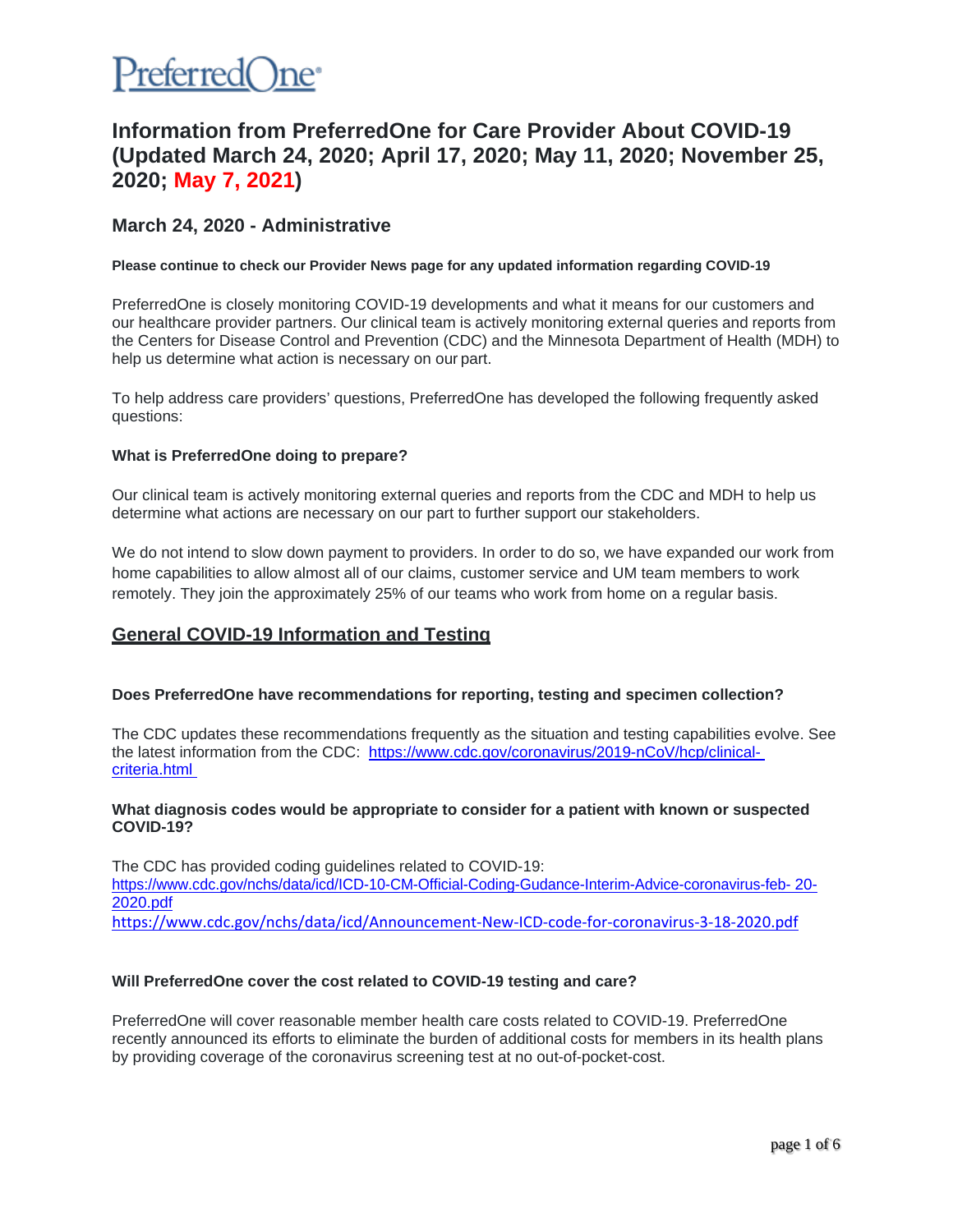

# **Information from PreferredOne for Care Provider About COVID-19 (Updated March 24, 2020; April 17, 2020; May 11, 2020; November 25, 2020; May 7, 2021)**

# **March 24, 2020 - Administrative**

#### **Please continue to check our Provider News page for any updated information regarding COVID-19**

PreferredOne is closely monitoring COVID-19 developments and what it means for our customers and our healthcare provider partners. Our clinical team is actively monitoring external queries and reports from the Centers for Disease Control and Prevention (CDC) and the Minnesota Department of Health (MDH) to help us determine what action is necessary on our part.

To help address care providers' questions, PreferredOne has developed the following frequently asked questions:

#### **What is PreferredOne doing to prepare?**

Our clinical team is actively monitoring external queries and reports from the CDC and MDH to help us determine what actions are necessary on our part to further support our stakeholders.

We do not intend to slow down payment to providers. In order to do so, we have expanded our work from home capabilities to allow almost all of our claims, customer service and UM team members to work remotely. They join the approximately 25% of our teams who work from home on a regular basis.

# **General COVID-19 Information and Testing**

# **Does PreferredOne have recommendations for reporting, testing and specimen collection?**

The CDC updates these recommendations frequently as the situation and testing capabilities evolve. See the latest information from the CDC: [https://www.cdc.gov/coronavirus/2019-nCoV/hcp/clinical](https://www.cdc.gov/coronavirus/2019-nCoV/hcp/clinical-criteria.html)[criteria.html](https://www.cdc.gov/coronavirus/2019-nCoV/hcp/clinical-criteria.html) 

#### **What diagnosis codes would be appropriate to consider for a patient with known or suspected COVID-19?**

The CDC has provided coding guidelines related to COVID-19: [https://www.cdc.gov/nchs/data/icd/ICD-10-CM-Official-Coding-Gudance-Interim-Advice-coronavirus-feb-](https://www.cdc.gov/nchs/data/icd/ICD-10-CM-Official-Coding-Gudance-Interim-Advice-coronavirus-feb-20-2020.pdf) [20-](https://www.cdc.gov/nchs/data/icd/ICD-10-CM-Official-Coding-Gudance-Interim-Advice-coronavirus-feb-20-2020.pdf) [2020.pdf](https://www.cdc.gov/nchs/data/icd/ICD-10-CM-Official-Coding-Gudance-Interim-Advice-coronavirus-feb-20-2020.pdf)

<https://www.cdc.gov/nchs/data/icd/Announcement-New-ICD-code-for-coronavirus-3-18-2020.pdf>

# **Will PreferredOne cover the cost related to COVID-19 testing and care?**

PreferredOne will cover reasonable member health care costs related to COVID-19. PreferredOne recently announced its efforts to eliminate the burden of additional costs for members in its health plans by providing coverage of the coronavirus screening test at no out-of-pocket-cost.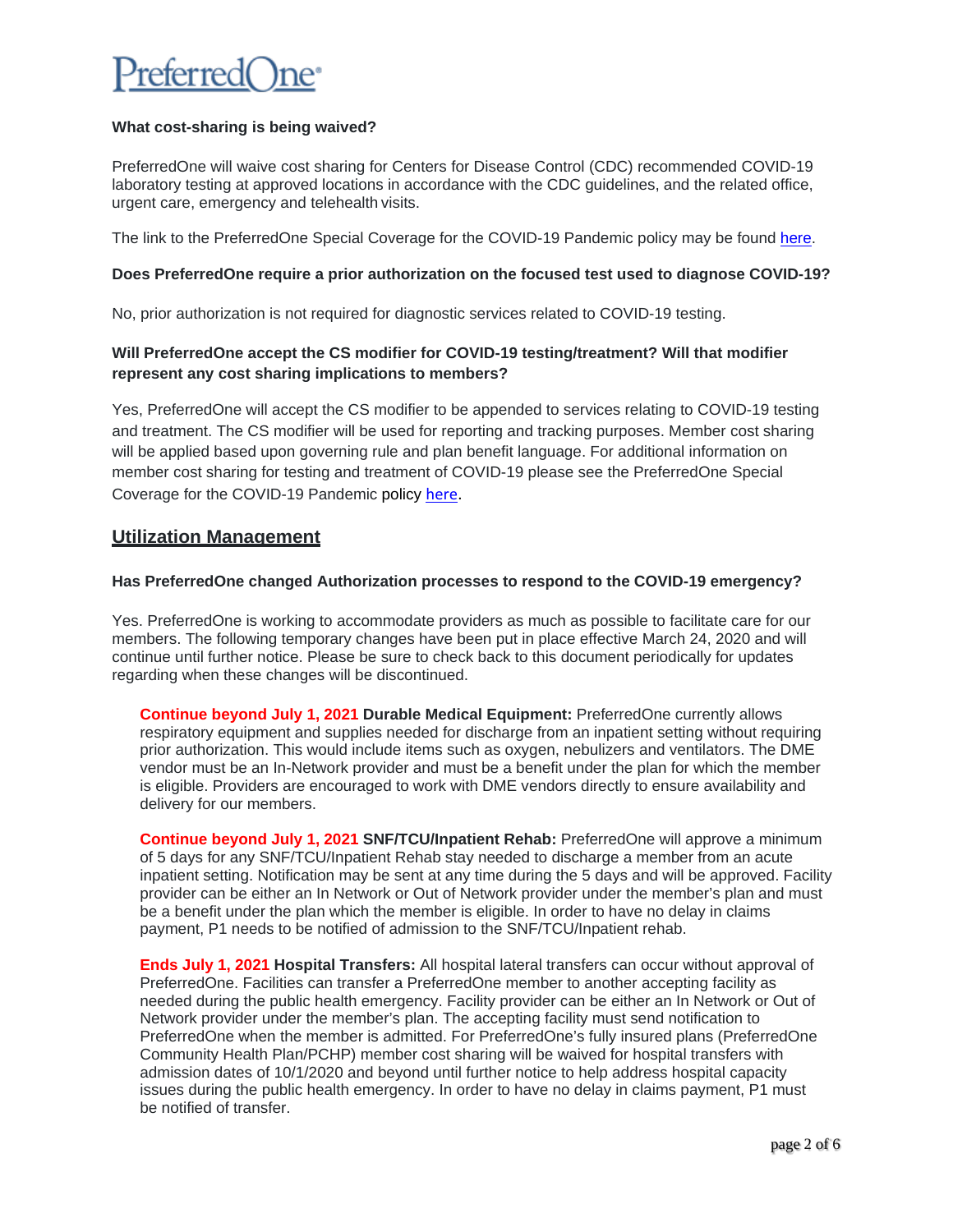

# **What cost-sharing is being waived?**

PreferredOne will waive cost sharing for Centers for Disease Control (CDC) recommended COVID-19 laboratory testing at approved locations in accordance with the CDC guidelines, and the related office, urgent care, emergency and telehealth visits.

The link to the PreferredOne Special Coverage for the COVID-19 Pandemic policy may be found [here.](https://www.preferredone.com/health-and-wellness/COVID/Default.aspx)

# **Does PreferredOne require a prior authorization on the focused test used to diagnose COVID-19?**

No, prior authorization is not required for diagnostic services related to COVID-19 testing.

# **Will PreferredOne accept the CS modifier for COVID-19 testing/treatment? Will that modifier represent any cost sharing implications to members?**

Yes, PreferredOne will accept the CS modifier to be appended to services relating to COVID-19 testing and treatment. The CS modifier will be used for reporting and tracking purposes. Member cost sharing will be applied based upon governing rule and plan benefit language. For additional information on member cost sharing for testing and treatment of COVID-19 please see the PreferredOne Special Coverage for the COVID-19 Pandemic policy [here.](https://www.preferredone.com/health-and-wellness/COVID/Default.aspx)

# **Utilization Management**

# **Has PreferredOne changed Authorization processes to respond to the COVID-19 emergency?**

Yes. PreferredOne is working to accommodate providers as much as possible to facilitate care for our members. The following temporary changes have been put in place effective March 24, 2020 and will continue until further notice. Please be sure to check back to this document periodically for updates regarding when these changes will be discontinued.

**Continue beyond July 1, 2021 Durable Medical Equipment:** PreferredOne currently allows respiratory equipment and supplies needed for discharge from an inpatient setting without requiring prior authorization. This would include items such as oxygen, nebulizers and ventilators. The DME vendor must be an In-Network provider and must be a benefit under the plan for which the member is eligible. Providers are encouraged to work with DME vendors directly to ensure availability and delivery for our members.

**Continue beyond July 1, 2021 SNF/TCU/Inpatient Rehab:** PreferredOne will approve a minimum of 5 days for any SNF/TCU/Inpatient Rehab stay needed to discharge a member from an acute inpatient setting. Notification may be sent at any time during the 5 days and will be approved. Facility provider can be either an In Network or Out of Network provider under the member's plan and must be a benefit under the plan which the member is eligible. In order to have no delay in claims payment, P1 needs to be notified of admission to the SNF/TCU/Inpatient rehab.

**Ends July 1, 2021 Hospital Transfers:** All hospital lateral transfers can occur without approval of PreferredOne. Facilities can transfer a PreferredOne member to another accepting facility as needed during the public health emergency. Facility provider can be either an In Network or Out of Network provider under the member's plan. The accepting facility must send notification to PreferredOne when the member is admitted. For PreferredOne's fully insured plans (PreferredOne Community Health Plan/PCHP) member cost sharing will be waived for hospital transfers with admission dates of 10/1/2020 and beyond until further notice to help address hospital capacity issues during the public health emergency. In order to have no delay in claims payment, P1 must be notified of transfer.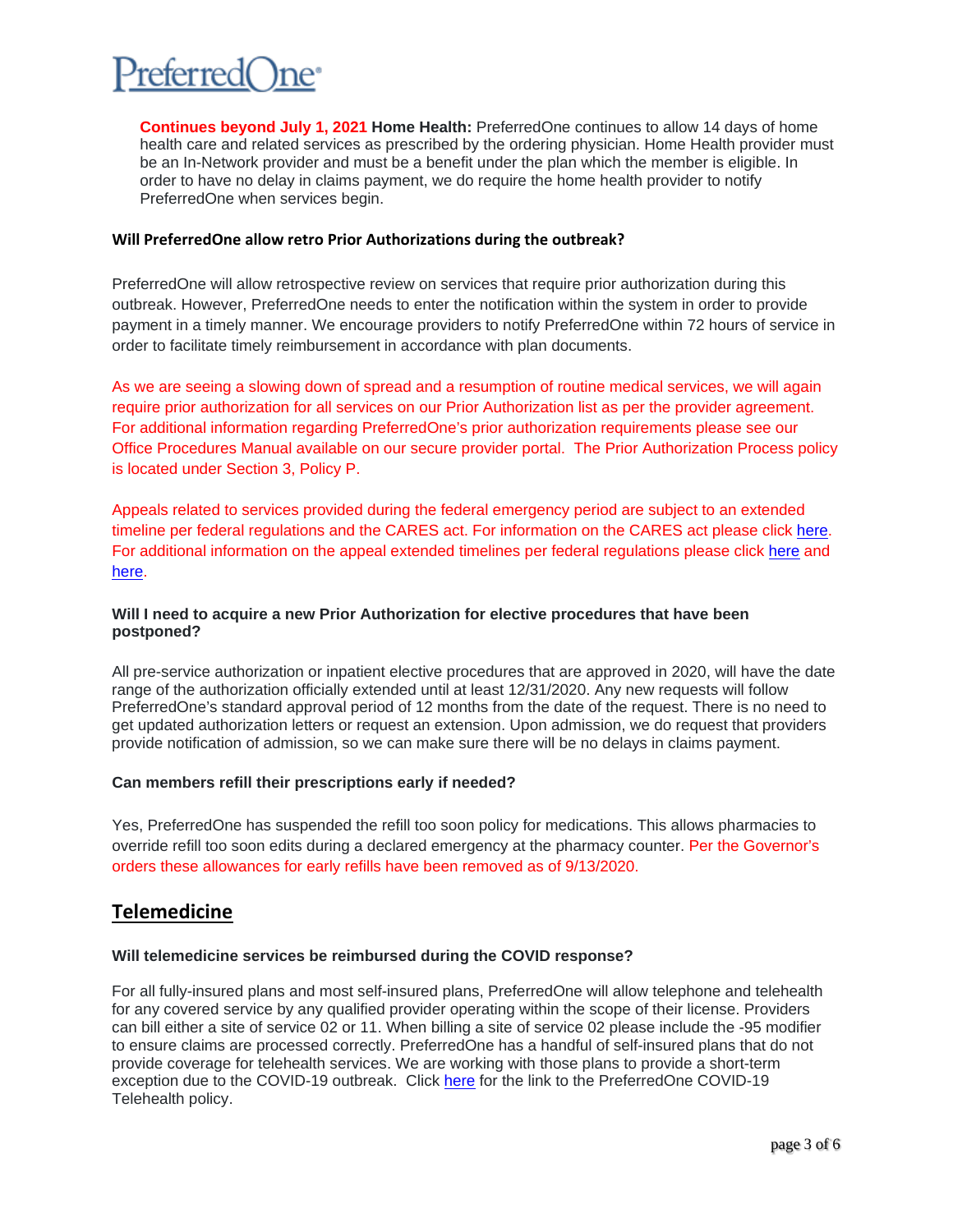

**Continues beyond July 1, 2021 Home Health:** PreferredOne continues to allow 14 days of home health care and related services as prescribed by the ordering physician. Home Health provider must be an In-Network provider and must be a benefit under the plan which the member is eligible. In order to have no delay in claims payment, we do require the home health provider to notify PreferredOne when services begin.

#### **Will PreferredOne allow retro Prior Authorizations during the outbreak?**

PreferredOne will allow retrospective review on services that require prior authorization during this outbreak. However, PreferredOne needs to enter the notification within the system in order to provide payment in a timely manner. We encourage providers to notify PreferredOne within 72 hours of service in order to facilitate timely reimbursement in accordance with plan documents.

As we are seeing a slowing down of spread and a resumption of routine medical services, we will again require prior authorization for all services on our Prior Authorization list as per the provider agreement. For additional information regarding PreferredOne's prior authorization requirements please see our Office Procedures Manual available on our secure provider portal. The Prior Authorization Process policy is located under Section 3, Policy P.

Appeals related to services provided during the federal emergency period are subject to an extended timeline per federal regulations and the CARES act. For information on the CARES act please click [here.](https://www.congress.gov/116/bills/hr748/BILLS-116hr748enr.pdf) For additional information on the appeal extended timelines per federal regulations please click [here](https://www.govinfo.gov/content/pkg/FR-2020-05-04/pdf/2020-09399.pdf) and [here.](https://www.dol.gov/agencies/ebsa/employers-and-advisers/plan-administration-and-compliance/disaster-relief/ebsa-disaster-relief-notice-2021-01)

# **Will I need to acquire a new Prior Authorization for elective procedures that have been postponed?**

All pre-service authorization or inpatient elective procedures that are approved in 2020, will have the date range of the authorization officially extended until at least 12/31/2020. Any new requests will follow PreferredOne's standard approval period of 12 months from the date of the request. There is no need to get updated authorization letters or request an extension. Upon admission, we do request that providers provide notification of admission, so we can make sure there will be no delays in claims payment.

# **Can members refill their prescriptions early if needed?**

Yes, PreferredOne has suspended the refill too soon policy for medications. This allows pharmacies to override refill too soon edits during a declared emergency at the pharmacy counter. Per the Governor's orders these allowances for early refills have been removed as of 9/13/2020.

# **Telemedicine**

#### **Will telemedicine services be reimbursed during the COVID response?**

For all fully-insured plans and most self-insured plans, PreferredOne will allow telephone and telehealth for any covered service by any qualified provider operating within the scope of their license. Providers can bill either a site of service 02 or 11. When billing a site of service 02 please include the -95 modifier to ensure claims are processed correctly. PreferredOne has a handful of self-insured plans that do not provide coverage for telehealth services. We are working with those plans to provide a short-term exception due to the COVID-19 outbreak. Click [here](https://www.preferredone.com/health-and-wellness/COVID/Default.aspx) for the link to the PreferredOne COVID-19 Telehealth policy.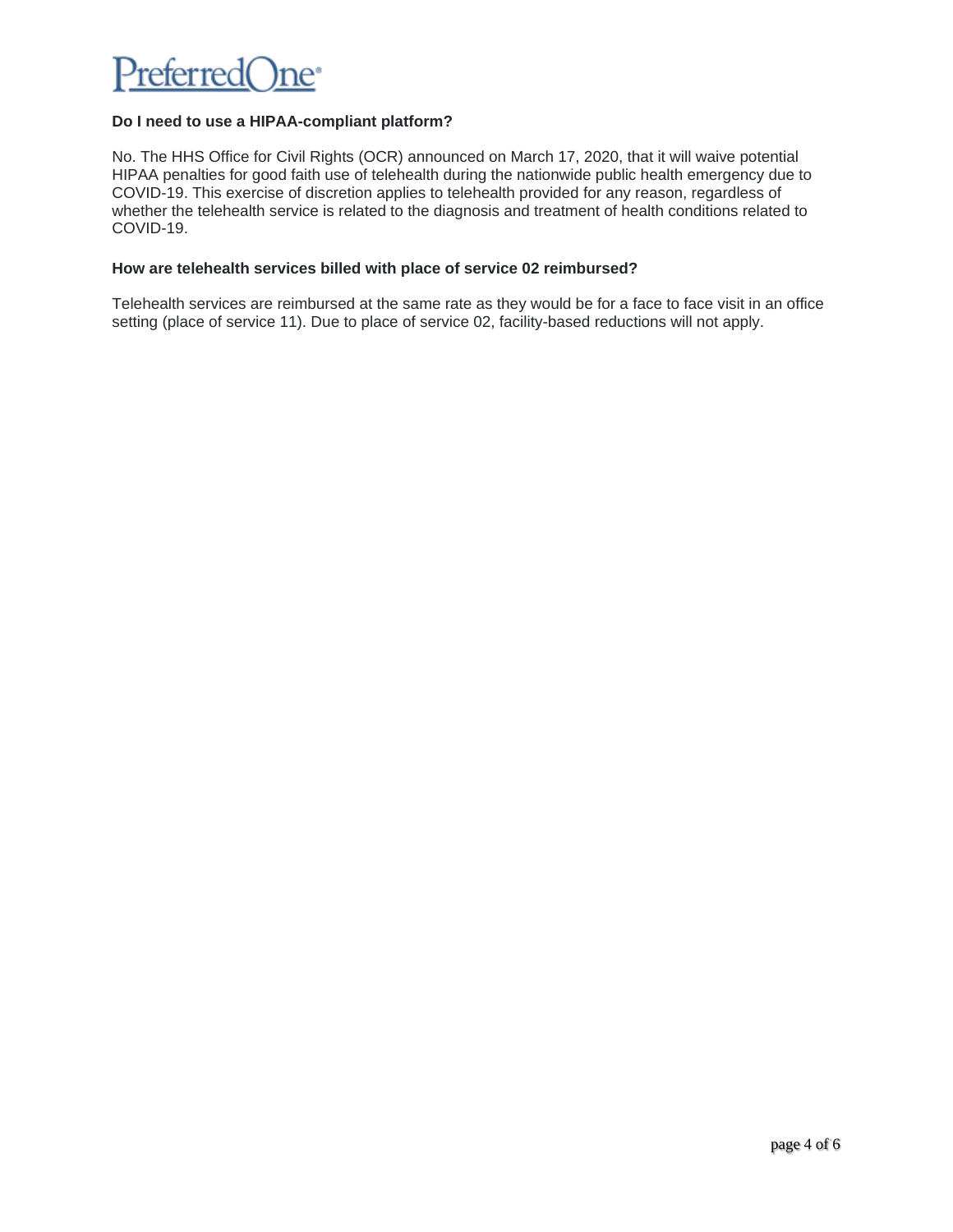

# **Do I need to use a HIPAA-compliant platform?**

No. The HHS Office for Civil Rights (OCR) announced on March 17, 2020, that it will waive potential HIPAA penalties for good faith use of telehealth during the nationwide public health emergency due to COVID-19. This exercise of discretion applies to telehealth provided for any reason, regardless of whether the telehealth service is related to the diagnosis and treatment of health conditions related to COVID-19.

#### **How are telehealth services billed with place of service 02 reimbursed?**

Telehealth services are reimbursed at the same rate as they would be for a face to face visit in an office setting (place of service 11). Due to place of service 02, facility-based reductions will not apply.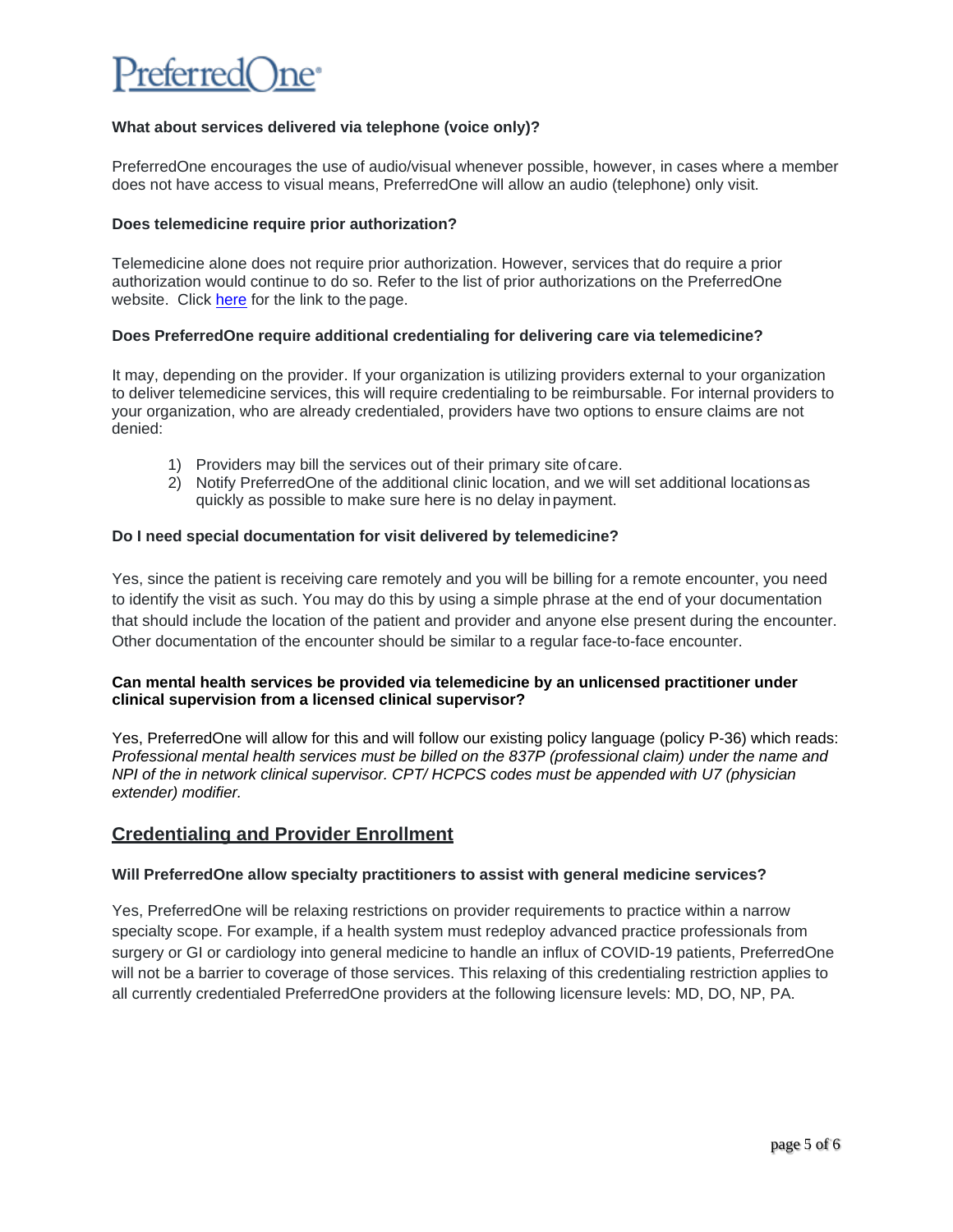# referred

# **What about services delivered via telephone (voice only)?**

PreferredOne encourages the use of audio/visual whenever possible, however, in cases where a member does not have access to visual means, PreferredOne will allow an audio (telephone) only visit.

# **Does telemedicine require prior authorization?**

Telemedicine alone does not require prior authorization. However, services that do require a prior authorization would continue to do so. Refer to the list of prior authorizations on the PreferredOne website. Click [here](https://www.preferredone.com/getting-care/medical-policy/) for the link to the page.

# **Does PreferredOne require additional credentialing for delivering care via telemedicine?**

It may, depending on the provider. If your organization is utilizing providers external to your organization to deliver telemedicine services, this will require credentialing to be reimbursable. For internal providers to your organization, who are already credentialed, providers have two options to ensure claims are not denied:

- 1) Providers may bill the services out of their primary site ofcare.
- 2) Notify PreferredOne of the additional clinic location, and we will set additional locationsas quickly as possible to make sure here is no delay inpayment.

# **Do I need special documentation for visit delivered by telemedicine?**

Yes, since the patient is receiving care remotely and you will be billing for a remote encounter, you need to identify the visit as such. You may do this by using a simple phrase at the end of your documentation that should include the location of the patient and provider and anyone else present during the encounter. Other documentation of the encounter should be similar to a regular face-to-face encounter.

# **Can mental health services be provided via telemedicine by an unlicensed practitioner under clinical supervision from a licensed clinical supervisor?**

Yes, PreferredOne will allow for this and will follow our existing policy language (policy P-36) which reads: *Professional mental health services must be billed on the 837P (professional claim) under the name and NPI of the in network clinical supervisor. CPT/ HCPCS codes must be appended with U7 (physician extender) modifier.*

# **Credentialing and Provider Enrollment**

# **Will PreferredOne allow specialty practitioners to assist with general medicine services?**

Yes, PreferredOne will be relaxing restrictions on provider requirements to practice within a narrow specialty scope. For example, if a health system must redeploy advanced practice professionals from surgery or GI or cardiology into general medicine to handle an influx of COVID-19 patients, PreferredOne will not be a barrier to coverage of those services. This relaxing of this credentialing restriction applies to all currently credentialed PreferredOne providers at the following licensure levels: MD, DO, NP, PA.